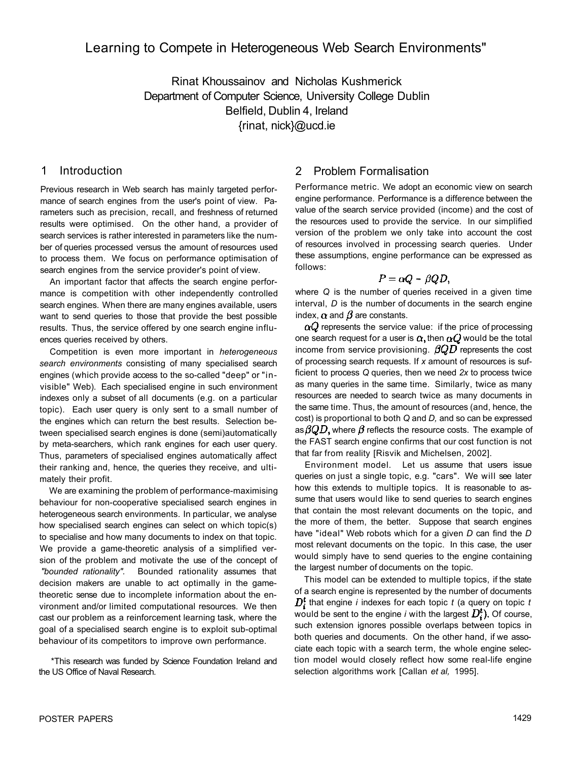# Learning to Compete in Heterogeneous Web Search Environments"

Rinat Khoussainov and Nicholas Kushmerick Department of Computer Science, University College Dublin Belfield, Dublin 4, Ireland {rinat, nick}@ucd.ie

# 1 Introduction

Previous research in Web search has mainly targeted performance of search engines from the user's point of view. Parameters such as precision, recall, and freshness of returned results were optimised. On the other hand, a provider of search services is rather interested in parameters like the number of queries processed versus the amount of resources used to process them. We focus on performance optimisation of search engines from the service provider's point of view.

An important factor that affects the search engine performance is competition with other independently controlled search engines. When there are many engines available, users want to send queries to those that provide the best possible results. Thus, the service offered by one search engine influences queries received by others.

Competition is even more important in *heterogeneous search environments* consisting of many specialised search engines (which provide access to the so-called "deep" or "invisible" Web). Each specialised engine in such environment indexes only a subset of all documents (e.g. on a particular topic). Each user query is only sent to a small number of the engines which can return the best results. Selection between specialised search engines is done (semi)automatically by meta-searchers, which rank engines for each user query. Thus, parameters of specialised engines automatically affect their ranking and, hence, the queries they receive, and ultimately their profit.

We are examining the problem of performance-maximising behaviour for non-cooperative specialised search engines in heterogeneous search environments. In particular, we analyse how specialised search engines can select on which topic(s) to specialise and how many documents to index on that topic. We provide a game-theoretic analysis of a simplified version of the problem and motivate the use of the concept of *"bounded rationality".* Bounded rationality assumes that decision makers are unable to act optimally in the gametheoretic sense due to incomplete information about the environment and/or limited computational resources. We then cast our problem as a reinforcement learning task, where the goal of a specialised search engine is to exploit sub-optimal behaviour of its competitors to improve own performance.

\*This research was funded by Science Foundation Ireland and the US Office of Naval Research.

# 2 Problem Formalisation

Performance metric. We adopt an economic view on search engine performance. Performance is a difference between the value of the search service provided (income) and the cost of the resources used to provide the service. In our simplified version of the problem we only take into account the cost of resources involved in processing search queries. Under these assumptions, engine performance can be expressed as follows:

$$
P=\alpha Q-\beta QD,
$$

where *Q* is the number of queries received in a given time interval, *D* is the number of documents in the search engine index,  $\alpha$  and  $\beta$  are constants.

 $\alpha Q$  represents the service value: if the price of processing one search request for a user is  $\alpha$ , then  $\alpha Q$  would be the total income from service provisioning.  $\beta QD$  represents the cost of processing search requests. If *x* amount of resources is sufficient to process *Q* queries, then we need *2x* to process twice as many queries in the same time. Similarly, twice as many resources are needed to search twice as many documents in the same time. Thus, the amount of resources (and, hence, the cost) is proportional to both *Q* and *D,* and so can be expressed as  $\beta QD$ , where  $\beta$  reflects the resource costs. The example of the FAST search engine confirms that our cost function is not that far from reality [Risvik and Michelsen, 2002].

Environment model. Let us assume that users issue queries on just a single topic, e.g. "cars". We will see later how this extends to multiple topics. It is reasonable to assume that users would like to send queries to search engines that contain the most relevant documents on the topic, and the more of them, the better. Suppose that search engines have "ideal" Web robots which for a given *D* can find the *D*  most relevant documents on the topic. In this case, the user would simply have to send queries to the engine containing the largest number of documents on the topic.

This model can be extended to multiple topics, if the state of a search engine is represented by the number of documents  $D_i^t$  that engine *i* indexes for each topic *t* (a query on topic *t* would be sent to the engine *i* with the largest  $D_i^t$ ). Of course, such extension ignores possible overlaps between topics in both queries and documents. On the other hand, if we associate each topic with a search term, the whole engine selection model would closely reflect how some real-life engine selection algorithms work [Callan *et al,* 1995].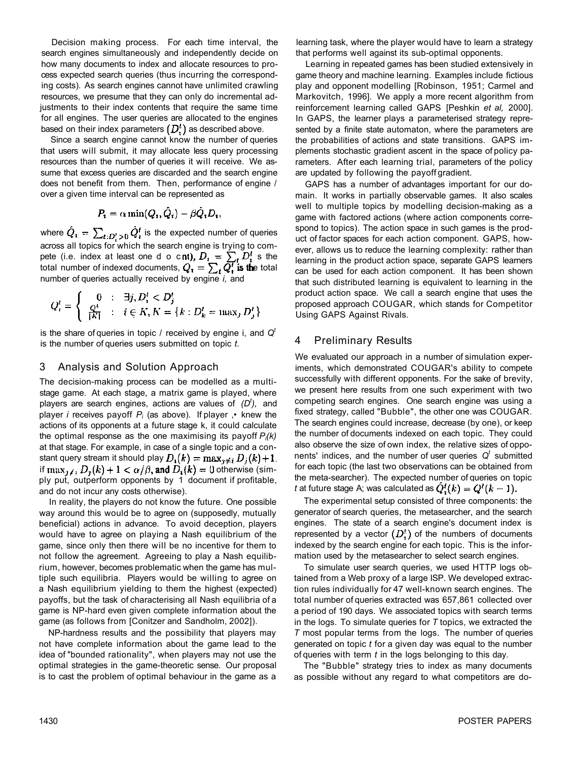Decision making process. For each time interval, the search engines simultaneously and independently decide on how many documents to index and allocate resources to process expected search queries (thus incurring the corresponding costs). As search engines cannot have unlimited crawling resources, we presume that they can only do incremental adjustments to their index contents that require the same time for all engines. The user queries are allocated to the engines based on their index parameters  $(D_i^t)$  as described above.

Since a search engine cannot know the number of queries that users will submit, it may allocate less query processing resources than the number of queries it will receive. We assume that excess queries are discarded and the search engine does not benefit from them. Then, performance of engine / over a given time interval can be represented as

$$
P_i = \alpha \min(Q_i, \hat{Q}_i) - \beta \hat{Q}_i D_i,
$$

where  $\hat{Q}_i = \sum_{i:D_i' > 0} \hat{Q}_i^t$  is the expected number of queries across all topics for which the search engine is trying to compete (i.e. index at least one d o cnt),  $D_i = \sum_i D_i$  s the total number of indexed documents,  $Q_i = \sum_i Q_i^i$  is the total number of queries actually received by engine *i,* and

$$
Q_i^t = \begin{cases} 0 & : & \exists j, D_i^t < D_j^t \\ \frac{Q^t}{|K|} & : & i \in K, K = \{k : D_k^t = \max_j D_j^t\} \end{cases}
$$

is the share of queries in topic / received by engine i, and *Q<sup>t</sup>* is the number of queries users submitted on topic *t*.

#### 3 Analysis and Solution Approach

The decision-making process can be modelled as a multistage game. At each stage, a matrix game is played, where players are search engines, actions are values of *(D<sup>t</sup> ),* and player *i* receives payoff *Pi* (as above). If player ,• knew the actions of its opponents at a future stage k, it could calculate the optimal response as the one maximising its payoff *Pi(k)*  at that stage. For example, in case of a single topic and a constant query stream it should play  $D_i(k) = \max_{i \neq i} D_i(k) + 1$ . if  $\max_{k \in \mathcal{N}} D_i(k) + 1 < \alpha/\beta$ , and  $D_i(k) = 0$  otherwise (simply put, outperform opponents by 1 document if profitable, and do not incur any costs otherwise).

In reality, the players do not know the future. One possible way around this would be to agree on (supposedly, mutually beneficial) actions in advance. To avoid deception, players would have to agree on playing a Nash equilibrium of the game, since only then there will be no incentive for them to not follow the agreement. Agreeing to play a Nash equilibrium, however, becomes problematic when the game has multiple such equilibria. Players would be willing to agree on a Nash equilibrium yielding to them the highest (expected) payoffs, but the task of characterising all Nash equilibria of a game is NP-hard even given complete information about the game (as follows from [Conitzer and Sandholm, 2002]).

NP-hardness results and the possibility that players may not have complete information about the game lead to the idea of "bounded rationality", when players may not use the optimal strategies in the game-theoretic sense. Our proposal is to cast the problem of optimal behaviour in the game as a learning task, where the player would have to learn a strategy that performs well against its sub-optimal opponents.

Learning in repeated games has been studied extensively in game theory and machine learning. Examples include fictious play and opponent modelling [Robinson, 1951; Carmel and Markovitch, 1996]. We apply a more recent algorithm from reinforcement learning called GAPS [Peshkin *et al,* 2000]. In GAPS, the learner plays a parameterised strategy represented by a finite state automaton, where the parameters are the probabilities of actions and state transitions. GAPS implements stochastic gradient ascent in the space of policy parameters. After each learning trial, parameters of the policy are updated by following the payoff gradient.

GAPS has a number of advantages important for our domain. It works in partially observable games. It also scales well to multiple topics by modelling decision-making as a game with factored actions (where action components correspond to topics). The action space in such games is the product of factor spaces for each action component. GAPS, however, allows us to reduce the learning complexity: rather than learning in the product action space, separate GAPS learners can be used for each action component. It has been shown that such distributed learning is equivalent to learning in the product action space. We call a search engine that uses the proposed approach COUGAR, which stands for Competitor Using GAPS Against Rivals.

## 4 Preliminary Results

We evaluated our approach in a number of simulation experiments, which demonstrated COUGAR's ability to compete successfully with different opponents. For the sake of brevity, we present here results from one such experiment with two competing search engines. One search engine was using a fixed strategy, called "Bubble", the other one was COUGAR. The search engines could increase, decrease (by one), or keep the number of documents indexed on each topic. They could also observe the size of own index, the relative sizes of opponents' indices, and the number of user queries  $Q<sup>t</sup>$  submitted for each topic (the last two observations can be obtained from the meta-searcher). The expected number of queries on topic *t* at future stage A; was calculated as  $\hat{Q}_i^t(k) = Q^t(k-1)$ .

The experimental setup consisted of three components: the generator of search queries, the metasearcher, and the search engines. The state of a search engine's document index is represented by a vector  $(D'_t)$  of the numbers of documents indexed by the search engine for each topic. This is the information used by the metasearcher to select search engines.

To simulate user search queries, we used HTTP logs obtained from a Web proxy of a large ISP. We developed extraction rules individually for 47 well-known search engines. The total number of queries extracted was 657,861 collected over a period of 190 days. We associated topics with search terms in the logs. To simulate queries for *T* topics, we extracted the *T* most popular terms from the logs. The number of queries generated on topic *t* for a given day was equal to the number of queries with term *t* in the logs belonging to this day.

The "Bubble" strategy tries to index as many documents as possible without any regard to what competitors are do-